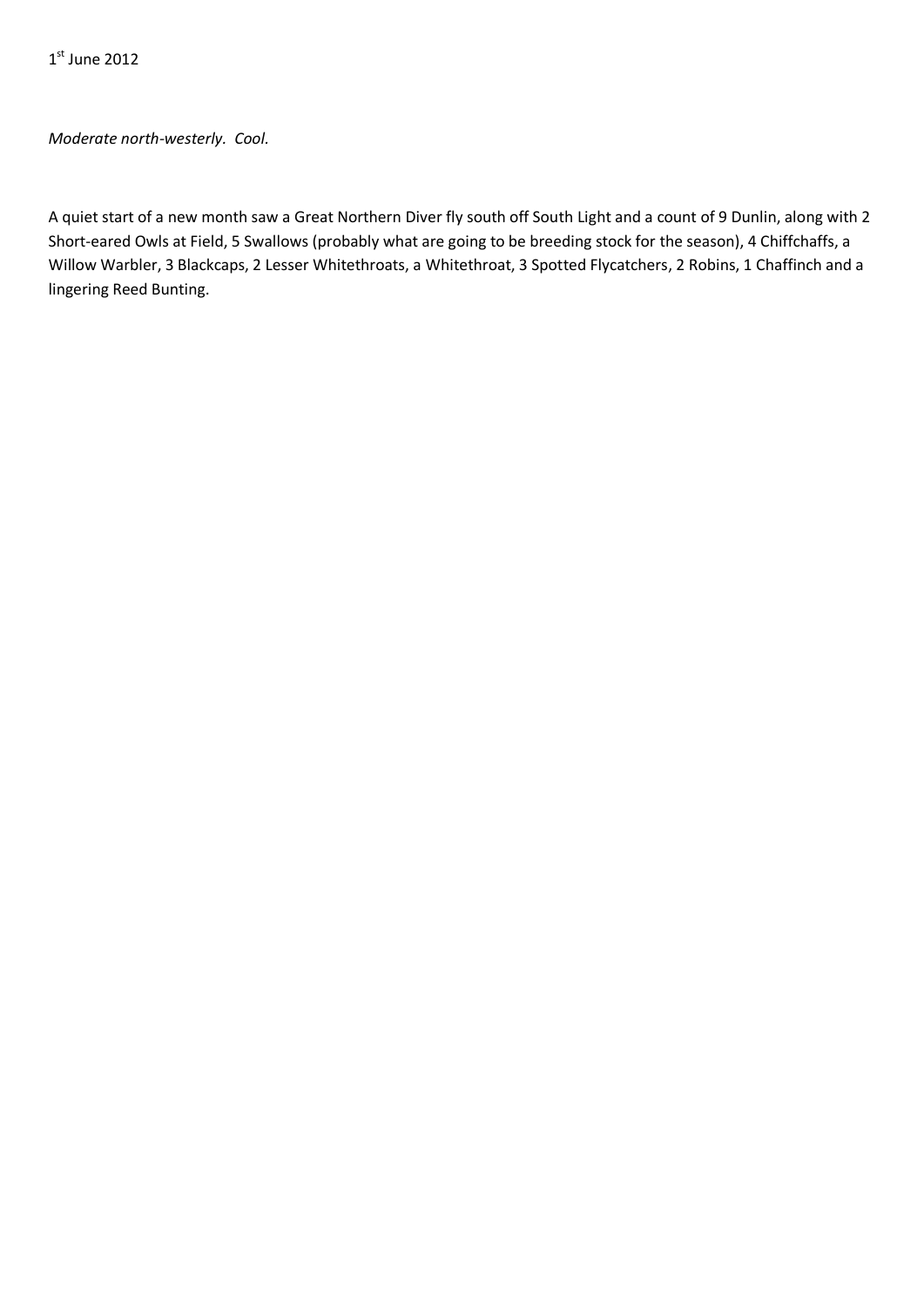*Moderate north-westerly. Cool.*

A quiet start of a new month saw a Great Northern Diver fly south off South Light and a count of 9 Dunlin, along with 2 Short-eared Owls at Field, 5 Swallows (probably what are going to be breeding stock for the season), 4 Chiffchaffs, a Willow Warbler, 3 Blackcaps, 2 Lesser Whitethroats, a Whitethroat, 3 Spotted Flycatchers, 2 Robins, 1 Chaffinch and a lingering Reed Bunting.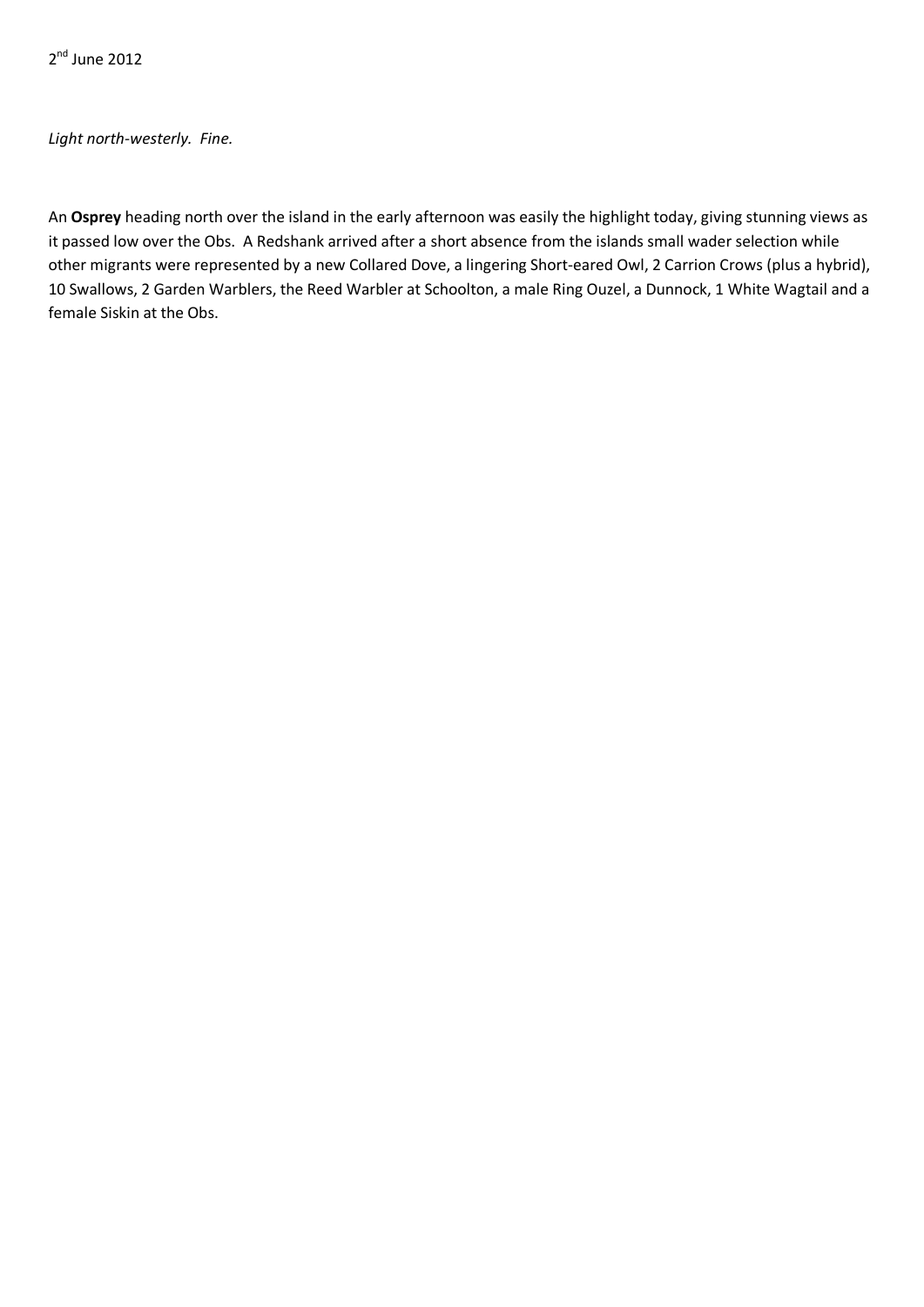2<sup>nd</sup> June 2012

*Light north-westerly. Fine.*

An **Osprey** heading north over the island in the early afternoon was easily the highlight today, giving stunning views as it passed low over the Obs. A Redshank arrived after a short absence from the islands small wader selection while other migrants were represented by a new Collared Dove, a lingering Short-eared Owl, 2 Carrion Crows (plus a hybrid), 10 Swallows, 2 Garden Warblers, the Reed Warbler at Schoolton, a male Ring Ouzel, a Dunnock, 1 White Wagtail and a female Siskin at the Obs.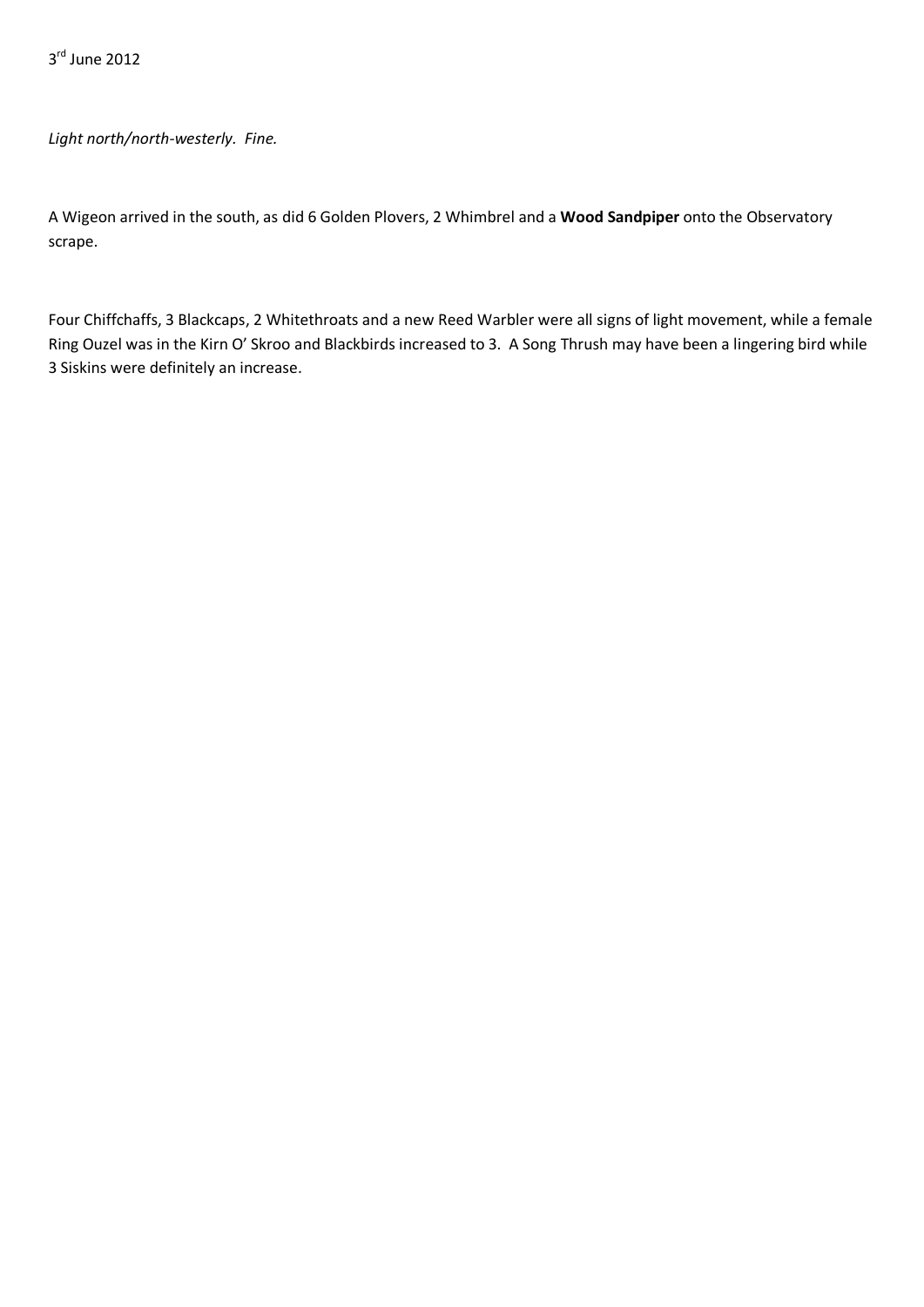*Light north/north-westerly. Fine.*

A Wigeon arrived in the south, as did 6 Golden Plovers, 2 Whimbrel and a **Wood Sandpiper** onto the Observatory scrape.

Four Chiffchaffs, 3 Blackcaps, 2 Whitethroats and a new Reed Warbler were all signs of light movement, while a female Ring Ouzel was in the Kirn O' Skroo and Blackbirds increased to 3. A Song Thrush may have been a lingering bird while 3 Siskins were definitely an increase.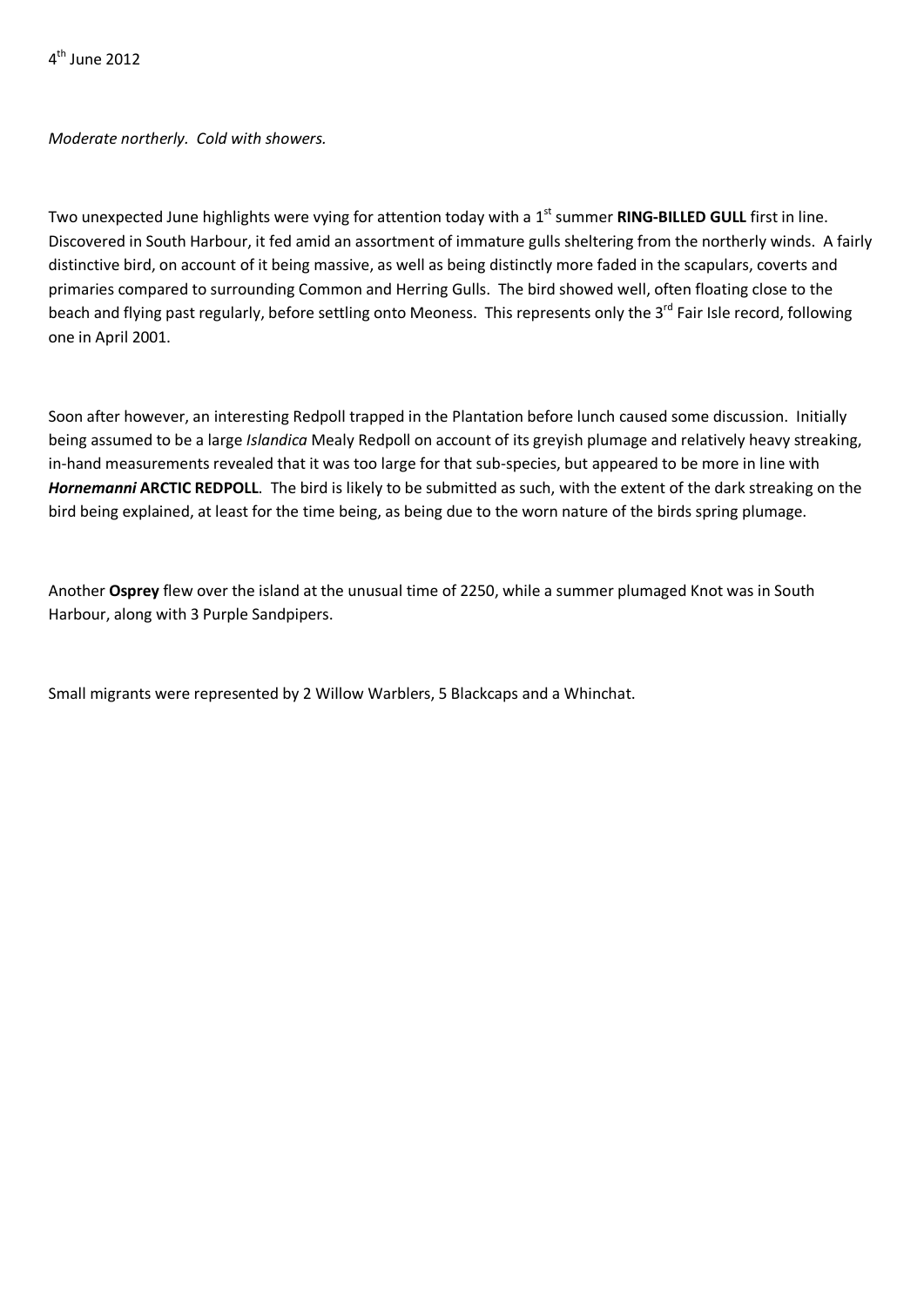4th June 2012

*Moderate northerly. Cold with showers.*

Two unexpected June highlights were vying for attention today with a 1<sup>st</sup> summer **RING-BILLED GULL** first in line. Discovered in South Harbour, it fed amid an assortment of immature gulls sheltering from the northerly winds. A fairly distinctive bird, on account of it being massive, as well as being distinctly more faded in the scapulars, coverts and primaries compared to surrounding Common and Herring Gulls. The bird showed well, often floating close to the beach and flying past regularly, before settling onto Meoness. This represents only the 3<sup>rd</sup> Fair Isle record, following one in April 2001.

Soon after however, an interesting Redpoll trapped in the Plantation before lunch caused some discussion. Initially being assumed to be a large *Islandica* Mealy Redpoll on account of its greyish plumage and relatively heavy streaking, in-hand measurements revealed that it was too large for that sub-species, but appeared to be more in line with *Hornemanni* **ARCTIC REDPOLL**. The bird is likely to be submitted as such, with the extent of the dark streaking on the bird being explained, at least for the time being, as being due to the worn nature of the birds spring plumage.

Another **Osprey** flew over the island at the unusual time of 2250, while a summer plumaged Knot was in South Harbour, along with 3 Purple Sandpipers.

Small migrants were represented by 2 Willow Warblers, 5 Blackcaps and a Whinchat.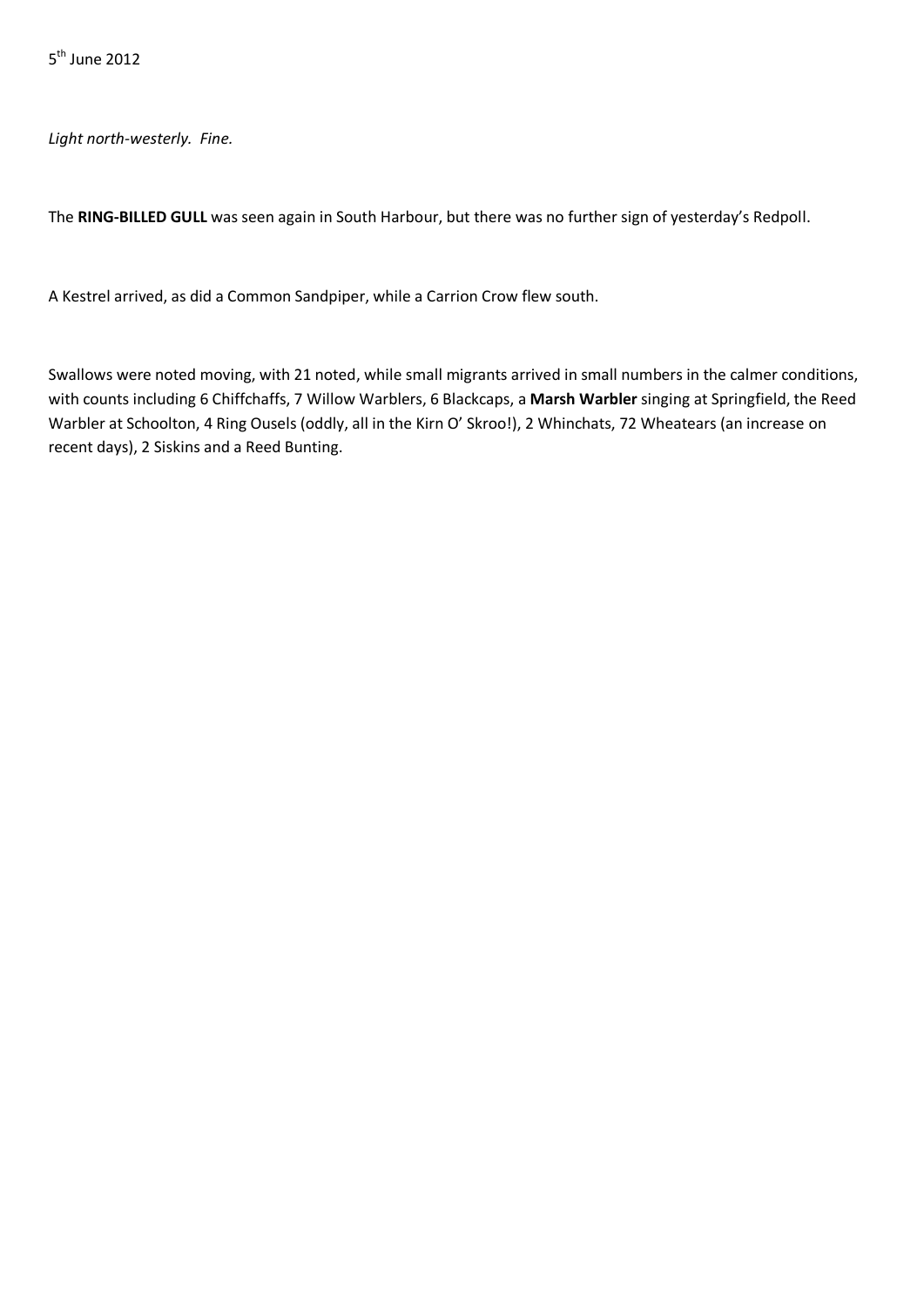*Light north-westerly. Fine.*

The **RING-BILLED GULL** was seen again in South Harbour, but there was no further sign of yesterday's Redpoll.

A Kestrel arrived, as did a Common Sandpiper, while a Carrion Crow flew south.

Swallows were noted moving, with 21 noted, while small migrants arrived in small numbers in the calmer conditions, with counts including 6 Chiffchaffs, 7 Willow Warblers, 6 Blackcaps, a **Marsh Warbler** singing at Springfield, the Reed Warbler at Schoolton, 4 Ring Ousels (oddly, all in the Kirn O' Skroo!), 2 Whinchats, 72 Wheatears (an increase on recent days), 2 Siskins and a Reed Bunting.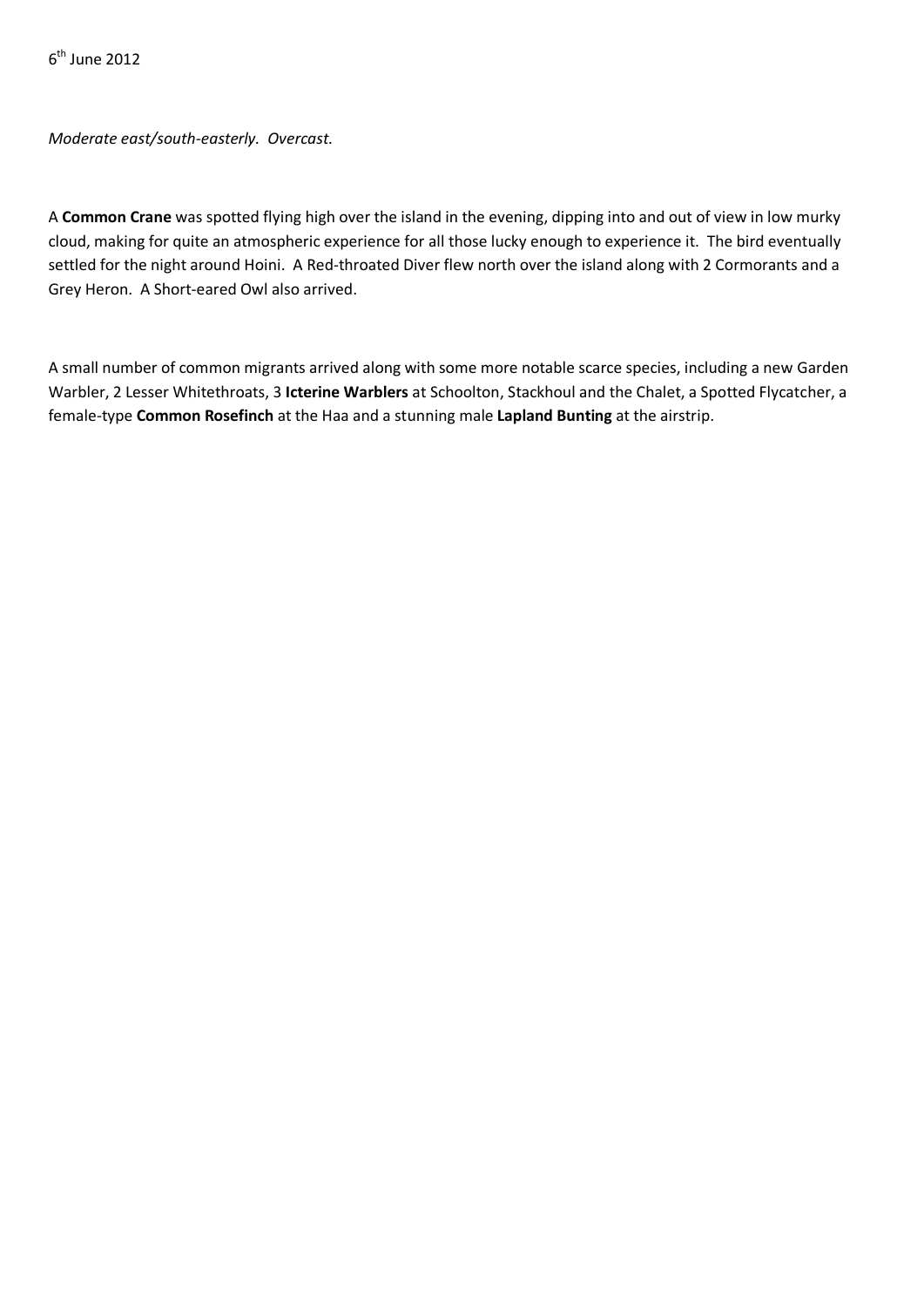$6<sup>th</sup>$  June 2012

*Moderate east/south-easterly. Overcast.*

A **Common Crane** was spotted flying high over the island in the evening, dipping into and out of view in low murky cloud, making for quite an atmospheric experience for all those lucky enough to experience it. The bird eventually settled for the night around Hoini.A Red-throated Diver flew north over the island along with 2 Cormorants and a Grey Heron. A Short-eared Owl also arrived.

A small number of common migrants arrived along with some more notable scarce species, including a new Garden Warbler, 2 Lesser Whitethroats, 3 **Icterine Warblers** at Schoolton, Stackhoul and the Chalet, a Spotted Flycatcher, a female-type **Common Rosefinch** at the Haa and a stunning male **Lapland Bunting** at the airstrip.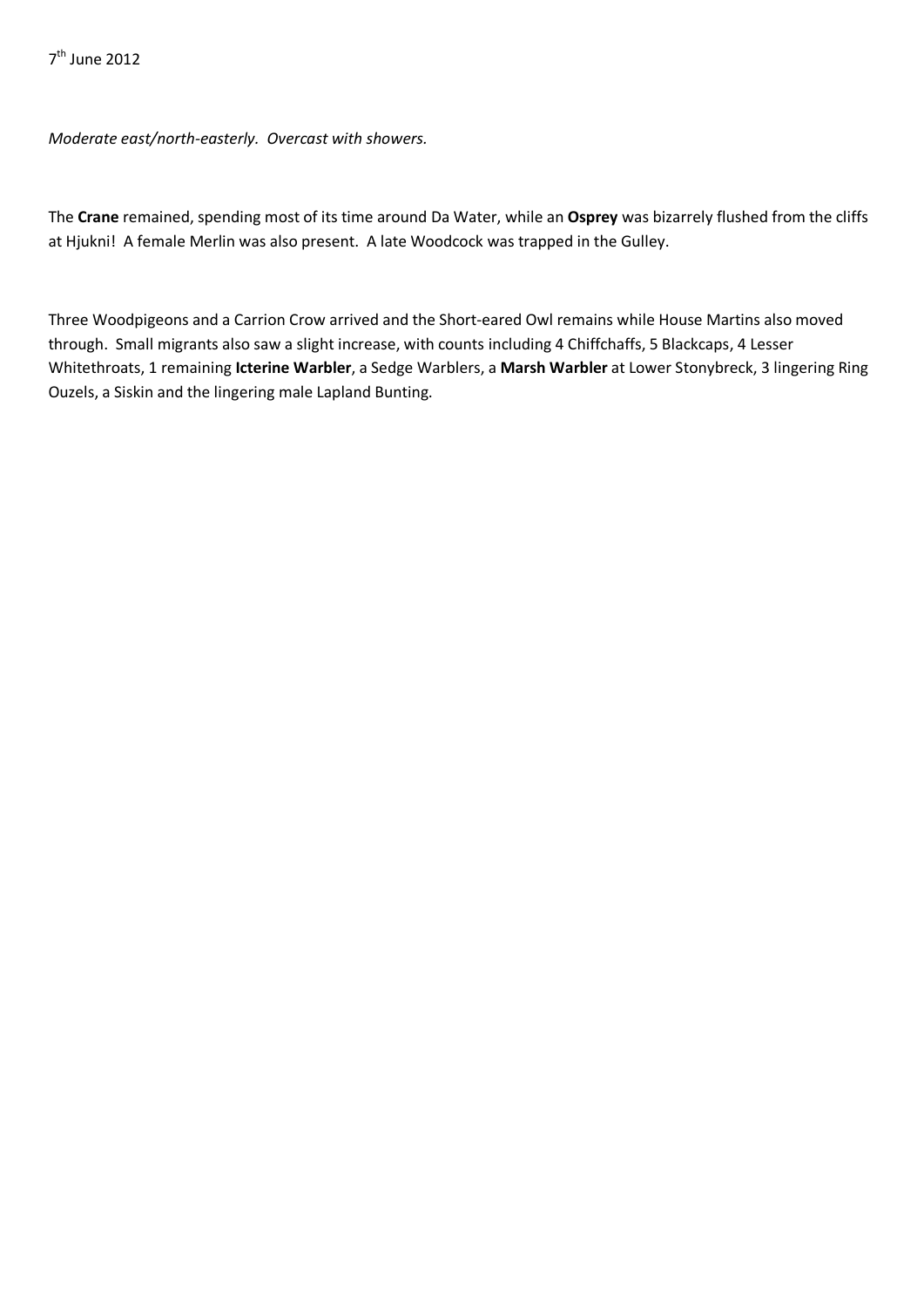*Moderate east/north-easterly. Overcast with showers.*

The **Crane** remained, spending most of its time around Da Water, while an **Osprey** was bizarrely flushed from the cliffs at Hjukni! A female Merlin was also present. A late Woodcock was trapped in the Gulley.

Three Woodpigeons and a Carrion Crow arrived and the Short-eared Owl remains while House Martins also moved through. Small migrants also saw a slight increase, with counts including 4 Chiffchaffs, 5 Blackcaps, 4 Lesser Whitethroats, 1 remaining **Icterine Warbler**, a Sedge Warblers, a **Marsh Warbler** at Lower Stonybreck, 3 lingering Ring Ouzels, a Siskin and the lingering male Lapland Bunting.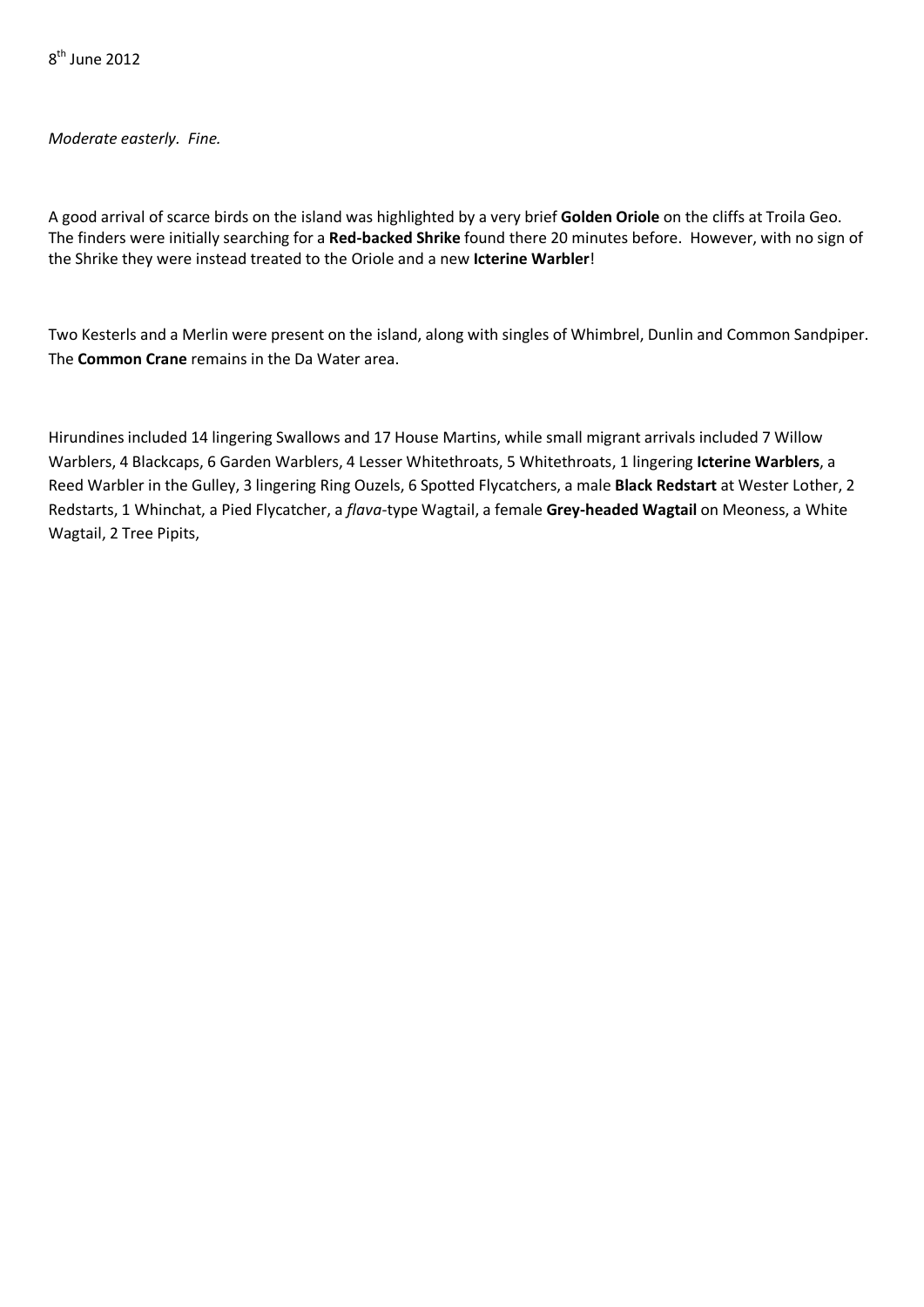$8<sup>th</sup>$  June 2012

*Moderate easterly. Fine.*

A good arrival of scarce birds on the island was highlighted by a very brief **Golden Oriole** on the cliffs at Troila Geo. The finders were initially searching for a **Red-backed Shrike** found there 20 minutes before. However, with no sign of the Shrike they were instead treated to the Oriole and a new **Icterine Warbler**!

Two Kesterls and a Merlin were present on the island, along with singles of Whimbrel, Dunlin and Common Sandpiper. The **Common Crane** remains in the Da Water area.

Hirundines included 14 lingering Swallows and 17 House Martins, while small migrant arrivals included 7 Willow Warblers, 4 Blackcaps, 6 Garden Warblers, 4 Lesser Whitethroats, 5 Whitethroats, 1 lingering **Icterine Warblers**, a Reed Warbler in the Gulley, 3 lingering Ring Ouzels, 6 Spotted Flycatchers, a male **Black Redstart** at Wester Lother, 2 Redstarts, 1 Whinchat, a Pied Flycatcher, a *flava*-type Wagtail, a female **Grey-headed Wagtail** on Meoness, a White Wagtail, 2 Tree Pipits,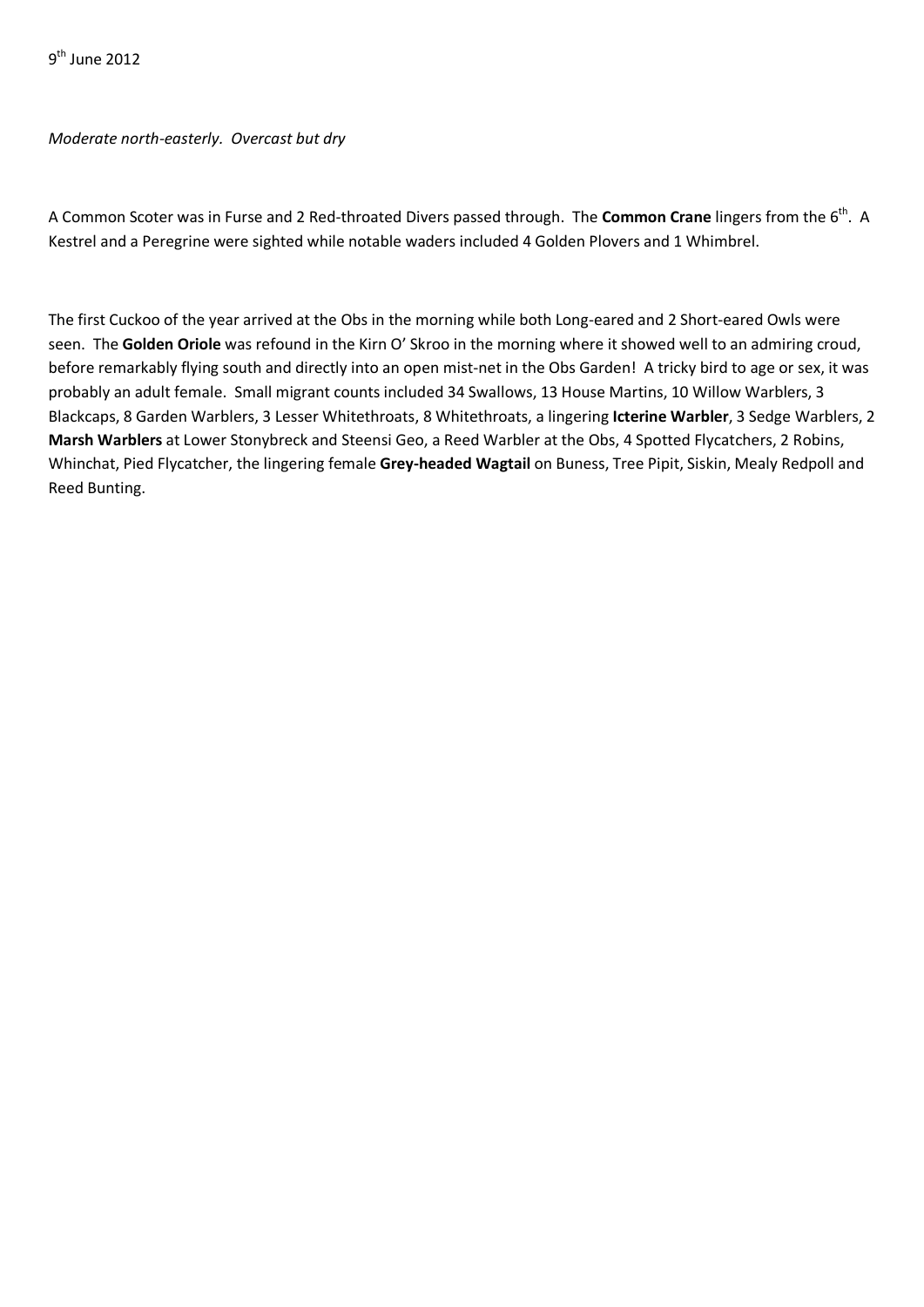9th June 2012

## *Moderate north-easterly. Overcast but dry*

A Common Scoter was in Furse and 2 Red-throated Divers passed through. The **Common Crane** lingers from the 6th. A Kestrel and a Peregrine were sighted while notable waders included 4 Golden Plovers and 1 Whimbrel.

The first Cuckoo of the year arrived at the Obs in the morning while both Long-eared and 2 Short-eared Owls were seen. The **Golden Oriole** was refound in the Kirn O' Skroo in the morning where it showed well to an admiring croud, before remarkably flying south and directly into an open mist-net in the Obs Garden! A tricky bird to age or sex, it was probably an adult female. Small migrant counts included 34 Swallows, 13 House Martins, 10 Willow Warblers, 3 Blackcaps, 8 Garden Warblers, 3 Lesser Whitethroats, 8 Whitethroats, a lingering **Icterine Warbler**, 3 Sedge Warblers, 2 **Marsh Warblers** at Lower Stonybreck and Steensi Geo, a Reed Warbler at the Obs, 4 Spotted Flycatchers, 2 Robins, Whinchat, Pied Flycatcher, the lingering female **Grey-headed Wagtail** on Buness, Tree Pipit, Siskin, Mealy Redpoll and Reed Bunting.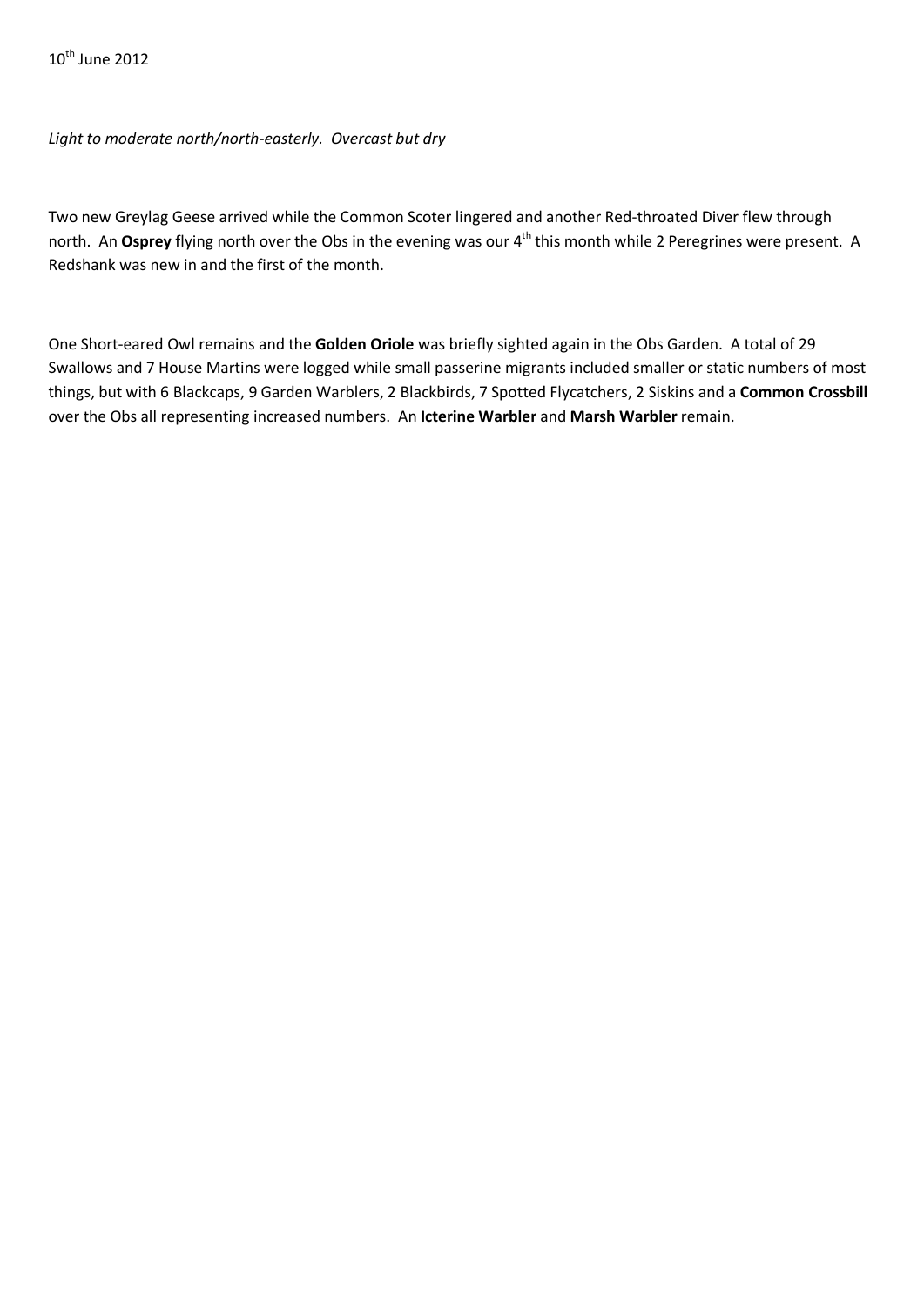$10^{th}$  June 2012

*Light to moderate north/north-easterly. Overcast but dry*

Two new Greylag Geese arrived while the Common Scoter lingered and another Red-throated Diver flew through north. An Osprey flying north over the Obs in the evening was our 4<sup>th</sup> this month while 2 Peregrines were present. A Redshank was new in and the first of the month.

One Short-eared Owl remains and the **Golden Oriole** was briefly sighted again in the Obs Garden. A total of 29 Swallows and 7 House Martins were logged while small passerine migrants included smaller or static numbers of most things, but with 6 Blackcaps, 9 Garden Warblers, 2 Blackbirds, 7 Spotted Flycatchers, 2 Siskins and a **Common Crossbill** over the Obs all representing increased numbers. An **Icterine Warbler** and **Marsh Warbler** remain.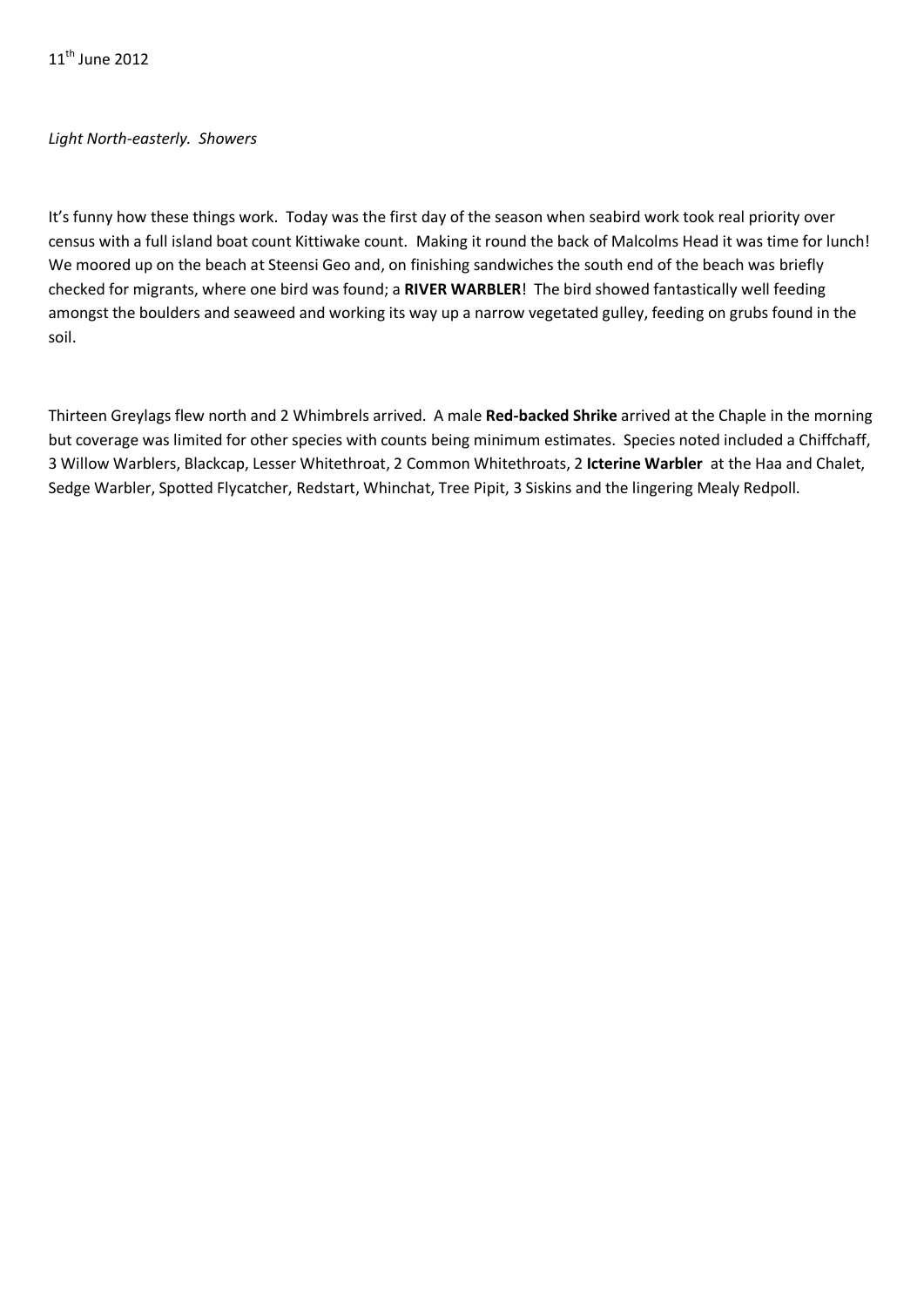11<sup>th</sup> June 2012

## *Light North-easterly. Showers*

It's funny how these things work. Today was the first day of the season when seabird work took real priority over census with a full island boat count Kittiwake count. Making it round the back of Malcolms Head it was time for lunch! We moored up on the beach at Steensi Geo and, on finishing sandwiches the south end of the beach was briefly checked for migrants, where one bird was found; a **RIVER WARBLER**! The bird showed fantastically well feeding amongst the boulders and seaweed and working its way up a narrow vegetated gulley, feeding on grubs found in the soil.

Thirteen Greylags flew north and 2 Whimbrels arrived. A male **Red-backed Shrike** arrived at the Chaple in the morning but coverage was limited for other species with counts being minimum estimates. Species noted included a Chiffchaff, 3 Willow Warblers, Blackcap, Lesser Whitethroat, 2 Common Whitethroats, 2 **Icterine Warbler** at the Haa and Chalet, Sedge Warbler, Spotted Flycatcher, Redstart, Whinchat, Tree Pipit, 3 Siskins and the lingering Mealy Redpoll.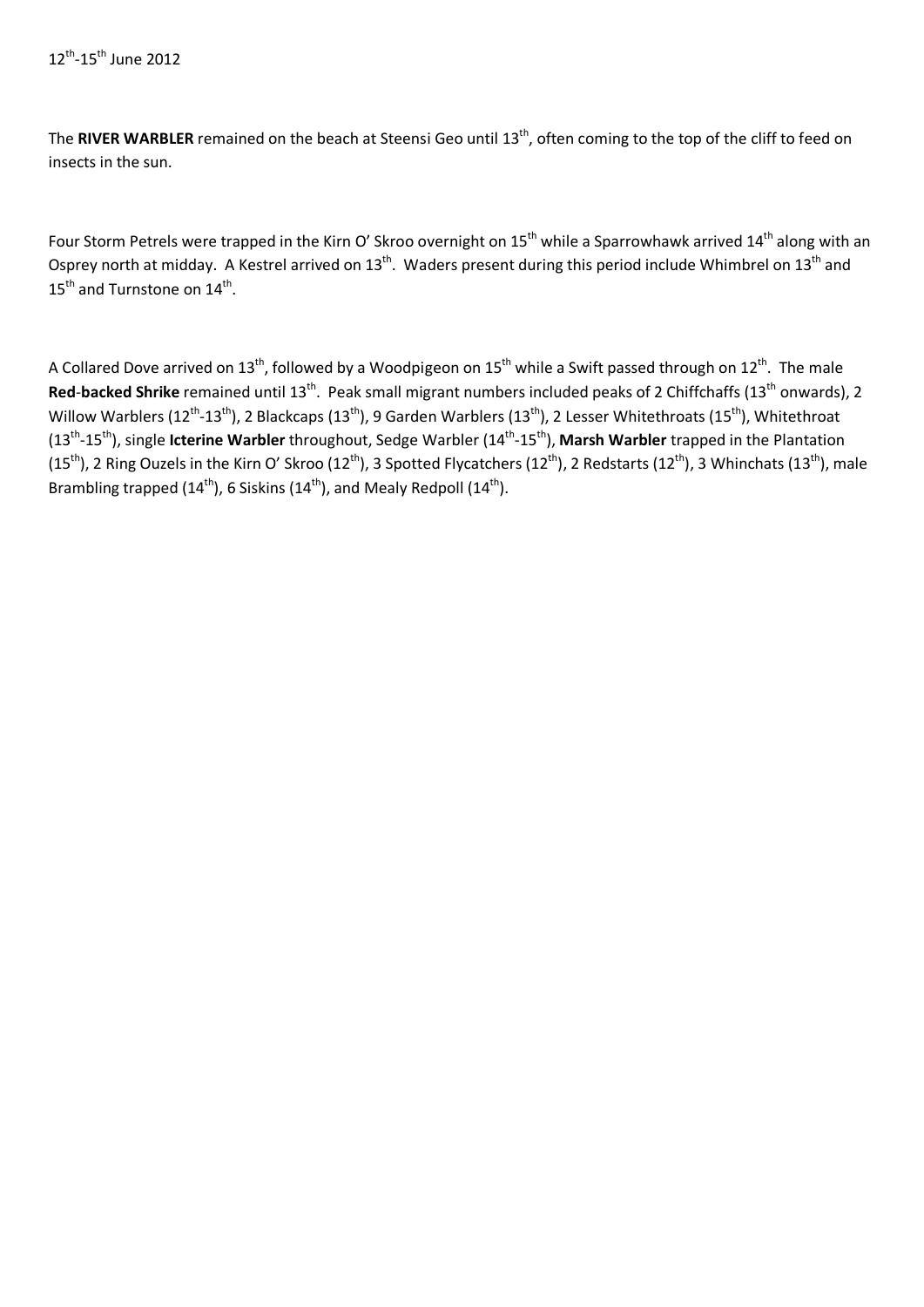The RIVER WARBLER remained on the beach at Steensi Geo until 13<sup>th</sup>, often coming to the top of the cliff to feed on insects in the sun.

Four Storm Petrels were trapped in the Kirn O' Skroo overnight on  $15^{th}$  while a Sparrowhawk arrived  $14^{th}$  along with an Osprey north at midday. A Kestrel arrived on  $13^{th}$ . Waders present during this period include Whimbrel on  $13^{th}$  and 15<sup>th</sup> and Turnstone on 14<sup>th</sup>.

A Collared Dove arrived on 13<sup>th</sup>, followed by a Woodpigeon on 15<sup>th</sup> while a Swift passed through on 12<sup>th</sup>. The male Red-backed Shrike remained until 13<sup>th</sup>. Peak small migrant numbers included peaks of 2 Chiffchaffs (13<sup>th</sup> onwards), 2 Willow Warblers (12<sup>th</sup>-13<sup>th</sup>), 2 Blackcaps (13<sup>th</sup>), 9 Garden Warblers (13<sup>th</sup>), 2 Lesser Whitethroats (15<sup>th</sup>), Whitethroat (13th-15th), single **Icterine Warbler** throughout, Sedge Warbler (14th-15th), **Marsh Warbler** trapped in the Plantation (15<sup>th</sup>), 2 Ring Ouzels in the Kirn O' Skroo (12<sup>th</sup>), 3 Spotted Flycatchers (12<sup>th</sup>), 2 Redstarts (12<sup>th</sup>), 3 Whinchats (13<sup>th</sup>), male Brambling trapped (14<sup>th</sup>), 6 Siskins (14<sup>th</sup>), and Mealy Redpoll (14<sup>th</sup>).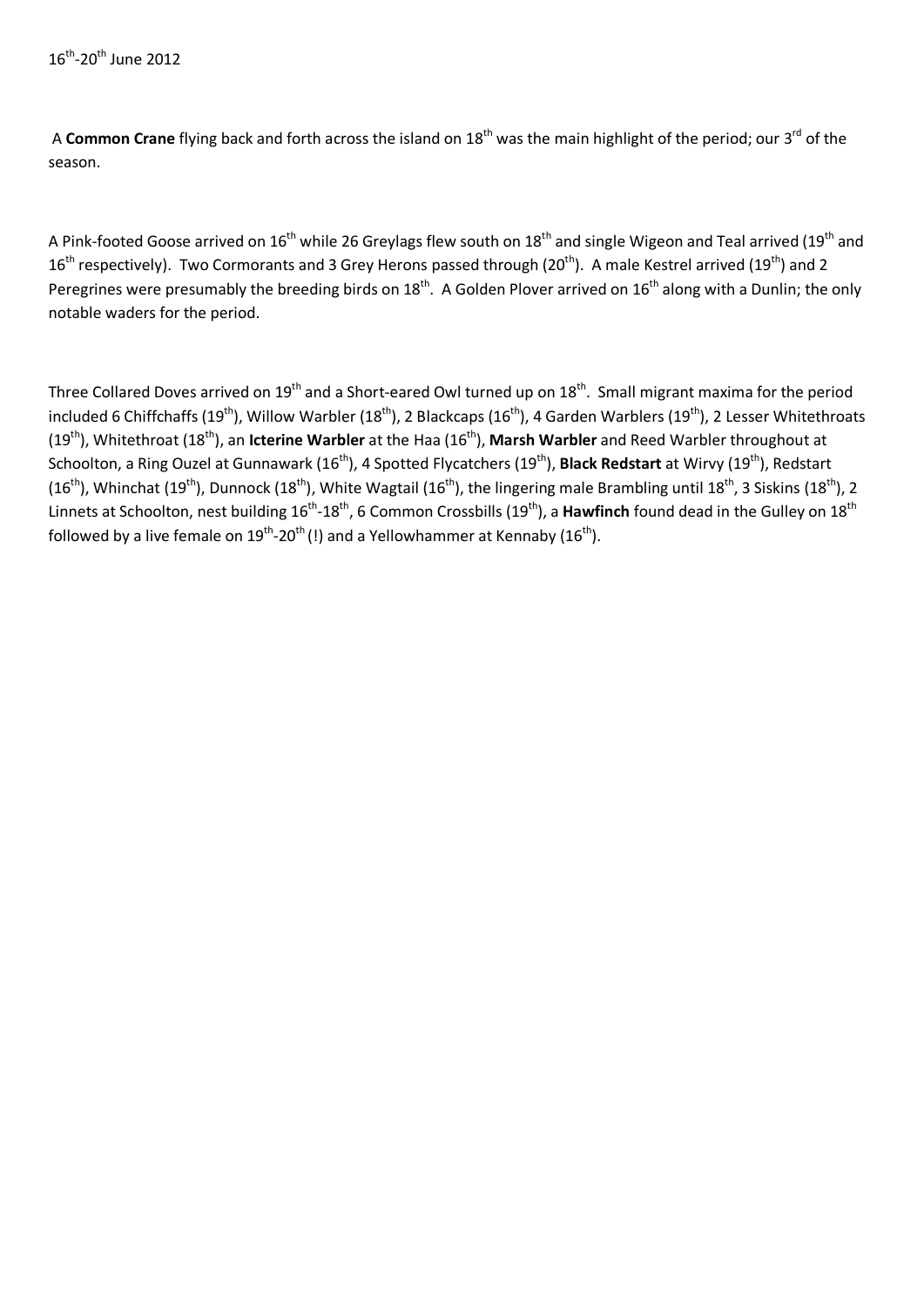A **Common Crane** flying back and forth across the island on 18<sup>th</sup> was the main highlight of the period; our 3<sup>rd</sup> of the season.

A Pink-footed Goose arrived on 16<sup>th</sup> while 26 Greylags flew south on 18<sup>th</sup> and single Wigeon and Teal arrived (19<sup>th</sup> and  $16<sup>th</sup>$  respectively). Two Cormorants and 3 Grey Herons passed through (20<sup>th</sup>). A male Kestrel arrived (19<sup>th</sup>) and 2 Peregrines were presumably the breeding birds on  $18^{th}$ . A Golden Plover arrived on  $16^{th}$  along with a Dunlin; the only notable waders for the period.

Three Collared Doves arrived on  $19^{th}$  and a Short-eared Owl turned up on  $18^{th}$ . Small migrant maxima for the period included 6 Chiffchaffs (19<sup>th</sup>), Willow Warbler (18<sup>th</sup>), 2 Blackcaps (16<sup>th</sup>), 4 Garden Warblers (19<sup>th</sup>), 2 Lesser Whitethroats (19th), Whitethroat (18th), an **Icterine Warbler** at the Haa (16th), **Marsh Warbler** and Reed Warbler throughout at Schoolton, a Ring Ouzel at Gunnawark (16<sup>th</sup>), 4 Spotted Flycatchers (19<sup>th</sup>), **Black Redstart** at Wirvy (19<sup>th</sup>), Redstart (16<sup>th</sup>), Whinchat (19<sup>th</sup>), Dunnock (18<sup>th</sup>), White Wagtail (16<sup>th</sup>), the lingering male Brambling until 18<sup>th</sup>, 3 Siskins (18<sup>th</sup>), 2 Linnets at Schoolton, nest building 16<sup>th</sup>-18<sup>th</sup>, 6 Common Crossbills (19<sup>th</sup>), a **Hawfinch** found dead in the Gulley on 18<sup>th</sup> followed by a live female on  $19^{th}$ -20<sup>th</sup> (!) and a Yellowhammer at Kennaby ( $16^{th}$ ).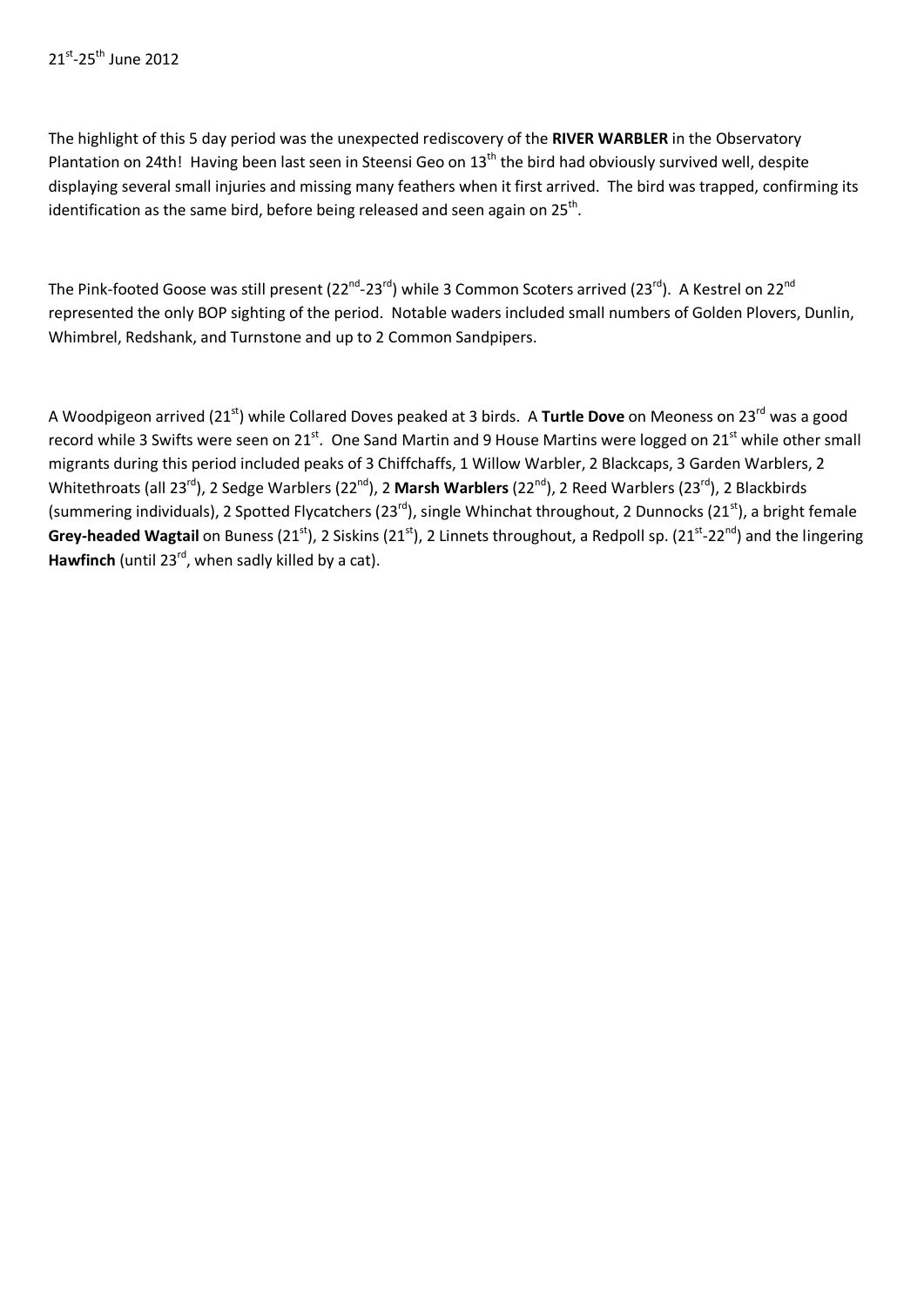The highlight of this 5 day period was the unexpected rediscovery of the **RIVER WARBLER** in the Observatory Plantation on 24th! Having been last seen in Steensi Geo on 13<sup>th</sup> the bird had obviously survived well, despite displaying several small injuries and missing many feathers when it first arrived. The bird was trapped, confirming its identification as the same bird, before being released and seen again on  $25<sup>th</sup>$ .

The Pink-footed Goose was still present (22<sup>nd</sup>-23<sup>rd</sup>) while 3 Common Scoters arrived (23<sup>rd</sup>). A Kestrel on 22<sup>nd</sup> represented the only BOP sighting of the period. Notable waders included small numbers of Golden Plovers, Dunlin, Whimbrel, Redshank, and Turnstone and up to 2 Common Sandpipers.

A Woodpigeon arrived (21st) while Collared Doves peaked at 3 birds. A **Turtle Dove** on Meoness on 23rd was a good record while 3 Swifts were seen on 21st. One Sand Martin and 9 House Martins were logged on 21st while other small migrants during this period included peaks of 3 Chiffchaffs, 1 Willow Warbler, 2 Blackcaps, 3 Garden Warblers, 2 Whitethroats (all 23rd), 2 Sedge Warblers (22nd), 2 **Marsh Warblers** (22nd), 2 Reed Warblers (23rd), 2 Blackbirds (summering individuals), 2 Spotted Flycatchers (23<sup>rd</sup>), single Whinchat throughout, 2 Dunnocks (21<sup>st</sup>), a bright female Grey-headed Wagtail on Buness (21<sup>st</sup>), 2 Siskins (21<sup>st</sup>), 2 Linnets throughout, a Redpoll sp. (21<sup>st</sup>-22<sup>nd</sup>) and the lingering Hawfinch (until 23<sup>rd</sup>, when sadly killed by a cat).